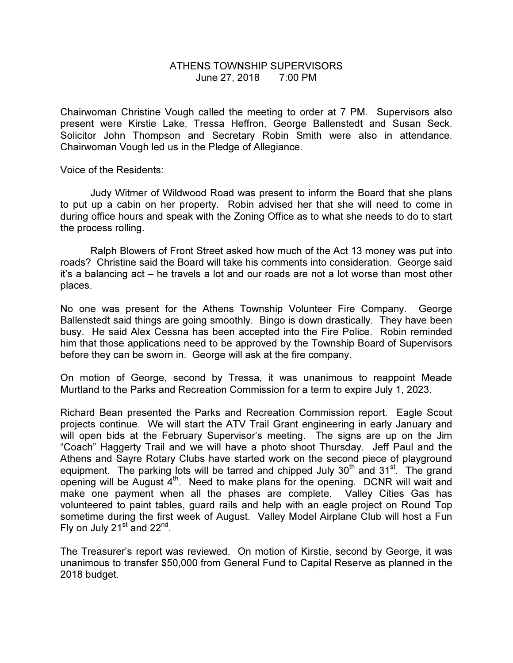## ATHENS TOWNSHIP SUPERVISORS June 27, 2018 7:00 PM

Chairwoman Christine Vough called the meeting to order at 7 PM. Supervisors also present were Kirstie Lake, Tressa Heffron, George Ballenstedt and Susan Seck. Solicitor John Thompson and Secretary Robin Smith were also in attendance. Chairwoman Vough led us in the Pledge of Allegiance.

Voice of the Residents:

 Judy Witmer of Wildwood Road was present to inform the Board that she plans to put up a cabin on her property. Robin advised her that she will need to come in during office hours and speak with the Zoning Office as to what she needs to do to start the process rolling.

 Ralph Blowers of Front Street asked how much of the Act 13 money was put into roads? Christine said the Board will take his comments into consideration. George said it's a balancing act – he travels a lot and our roads are not a lot worse than most other places.

No one was present for the Athens Township Volunteer Fire Company. George Ballenstedt said things are going smoothly. Bingo is down drastically. They have been busy. He said Alex Cessna has been accepted into the Fire Police. Robin reminded him that those applications need to be approved by the Township Board of Supervisors before they can be sworn in. George will ask at the fire company.

On motion of George, second by Tressa, it was unanimous to reappoint Meade Murtland to the Parks and Recreation Commission for a term to expire July 1, 2023.

Richard Bean presented the Parks and Recreation Commission report. Eagle Scout projects continue. We will start the ATV Trail Grant engineering in early January and will open bids at the February Supervisor's meeting. The signs are up on the Jim "Coach" Haggerty Trail and we will have a photo shoot Thursday. Jeff Paul and the Athens and Sayre Rotary Clubs have started work on the second piece of playground equipment. The parking lots will be tarred and chipped July  $30<sup>th</sup>$  and  $31<sup>st</sup>$ . The grand opening will be August  $4<sup>th</sup>$ . Need to make plans for the opening. DCNR will wait and make one payment when all the phases are complete. Valley Cities Gas has volunteered to paint tables, guard rails and help with an eagle project on Round Top sometime during the first week of August. Valley Model Airplane Club will host a Fun Fly on July  $21<sup>st</sup>$  and  $22<sup>nd</sup>$ .

The Treasurer's report was reviewed. On motion of Kirstie, second by George, it was unanimous to transfer \$50,000 from General Fund to Capital Reserve as planned in the 2018 budget.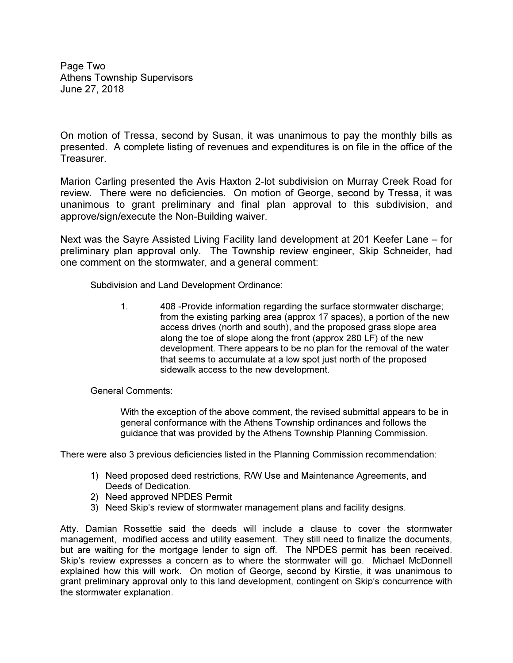Page Two Athens Township Supervisors June 27, 2018

On motion of Tressa, second by Susan, it was unanimous to pay the monthly bills as presented. A complete listing of revenues and expenditures is on file in the office of the Treasurer.

Marion Carling presented the Avis Haxton 2-lot subdivision on Murray Creek Road for review. There were no deficiencies. On motion of George, second by Tressa, it was unanimous to grant preliminary and final plan approval to this subdivision, and approve/sign/execute the Non-Building waiver.

Next was the Sayre Assisted Living Facility land development at 201 Keefer Lane – for preliminary plan approval only. The Township review engineer, Skip Schneider, had one comment on the stormwater, and a general comment:

Subdivision and Land Development Ordinance:

1. 408 -Provide information regarding the surface stormwater discharge; from the existing parking area (approx 17 spaces), a portion of the new access drives (north and south), and the proposed grass slope area along the toe of slope along the front (approx 280 LF) of the new development. There appears to be no plan for the removal of the water that seems to accumulate at a low spot just north of the proposed sidewalk access to the new development.

General Comments:

With the exception of the above comment, the revised submittal appears to be in general conformance with the Athens Township ordinances and follows the guidance that was provided by the Athens Township Planning Commission.

There were also 3 previous deficiencies listed in the Planning Commission recommendation:

- 1) Need proposed deed restrictions, R/W Use and Maintenance Agreements, and Deeds of Dedication.
- 2) Need approved NPDES Permit
- 3) Need Skip's review of stormwater management plans and facility designs.

Atty. Damian Rossettie said the deeds will include a clause to cover the stormwater management, modified access and utility easement. They still need to finalize the documents, but are waiting for the mortgage lender to sign off. The NPDES permit has been received. Skip's review expresses a concern as to where the stormwater will go. Michael McDonnell explained how this will work. On motion of George, second by Kirstie, it was unanimous to grant preliminary approval only to this land development, contingent on Skip's concurrence with the stormwater explanation.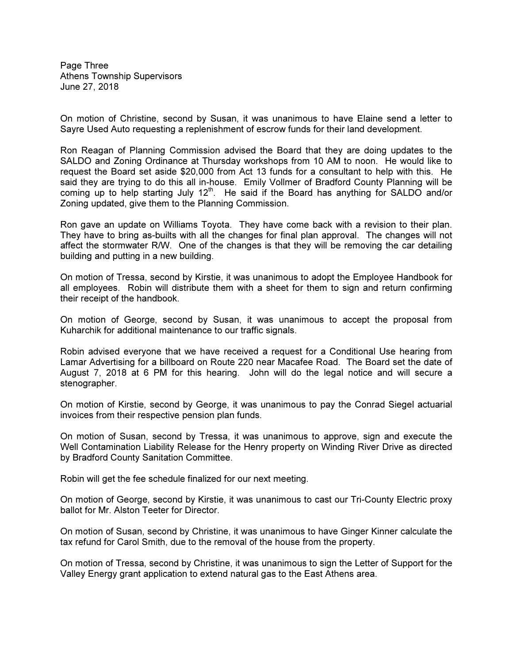Page Three Athens Township Supervisors June 27, 2018

On motion of Christine, second by Susan, it was unanimous to have Elaine send a letter to Sayre Used Auto requesting a replenishment of escrow funds for their land development.

Ron Reagan of Planning Commission advised the Board that they are doing updates to the SALDO and Zoning Ordinance at Thursday workshops from 10 AM to noon. He would like to request the Board set aside \$20,000 from Act 13 funds for a consultant to help with this. He said they are trying to do this all in-house. Emily Vollmer of Bradford County Planning will be coming up to help starting July  $12<sup>th</sup>$ . He said if the Board has anything for SALDO and/or Zoning updated, give them to the Planning Commission.

Ron gave an update on Williams Toyota. They have come back with a revision to their plan. They have to bring as-builts with all the changes for final plan approval. The changes will not affect the stormwater R/W. One of the changes is that they will be removing the car detailing building and putting in a new building.

On motion of Tressa, second by Kirstie, it was unanimous to adopt the Employee Handbook for all employees. Robin will distribute them with a sheet for them to sign and return confirming their receipt of the handbook.

On motion of George, second by Susan, it was unanimous to accept the proposal from Kuharchik for additional maintenance to our traffic signals.

Robin advised everyone that we have received a request for a Conditional Use hearing from Lamar Advertising for a billboard on Route 220 near Macafee Road. The Board set the date of August 7, 2018 at 6 PM for this hearing. John will do the legal notice and will secure a stenographer.

On motion of Kirstie, second by George, it was unanimous to pay the Conrad Siegel actuarial invoices from their respective pension plan funds.

On motion of Susan, second by Tressa, it was unanimous to approve, sign and execute the Well Contamination Liability Release for the Henry property on Winding River Drive as directed by Bradford County Sanitation Committee.

Robin will get the fee schedule finalized for our next meeting.

On motion of George, second by Kirstie, it was unanimous to cast our Tri-County Electric proxy ballot for Mr. Alston Teeter for Director.

On motion of Susan, second by Christine, it was unanimous to have Ginger Kinner calculate the tax refund for Carol Smith, due to the removal of the house from the property.

On motion of Tressa, second by Christine, it was unanimous to sign the Letter of Support for the Valley Energy grant application to extend natural gas to the East Athens area.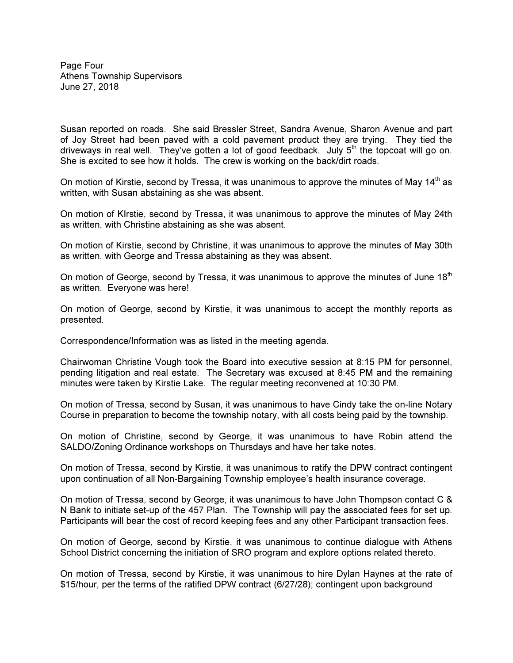Page Four Athens Township Supervisors June 27, 2018

Susan reported on roads. She said Bressler Street, Sandra Avenue, Sharon Avenue and part of Joy Street had been paved with a cold pavement product they are trying. They tied the driveways in real well. They've gotten a lot of good feedback. July  $5<sup>th</sup>$  the topcoat will go on. She is excited to see how it holds. The crew is working on the back/dirt roads.

On motion of Kirstie, second by Tressa, it was unanimous to approve the minutes of May  $14<sup>th</sup>$  as written, with Susan abstaining as she was absent.

On motion of KIrstie, second by Tressa, it was unanimous to approve the minutes of May 24th as written, with Christine abstaining as she was absent.

On motion of Kirstie, second by Christine, it was unanimous to approve the minutes of May 30th as written, with George and Tressa abstaining as they was absent.

On motion of George, second by Tressa, it was unanimous to approve the minutes of June 18<sup>th</sup> as written. Everyone was here!

On motion of George, second by Kirstie, it was unanimous to accept the monthly reports as presented.

Correspondence/Information was as listed in the meeting agenda.

Chairwoman Christine Vough took the Board into executive session at 8:15 PM for personnel, pending litigation and real estate. The Secretary was excused at 8:45 PM and the remaining minutes were taken by Kirstie Lake. The regular meeting reconvened at 10:30 PM.

On motion of Tressa, second by Susan, it was unanimous to have Cindy take the on-line Notary Course in preparation to become the township notary, with all costs being paid by the township.

On motion of Christine, second by George, it was unanimous to have Robin attend the SALDO/Zoning Ordinance workshops on Thursdays and have her take notes.

On motion of Tressa, second by Kirstie, it was unanimous to ratify the DPW contract contingent upon continuation of all Non-Bargaining Township employee's health insurance coverage.

On motion of Tressa, second by George, it was unanimous to have John Thompson contact C & N Bank to initiate set-up of the 457 Plan. The Township will pay the associated fees for set up. Participants will bear the cost of record keeping fees and any other Participant transaction fees.

On motion of George, second by Kirstie, it was unanimous to continue dialogue with Athens School District concerning the initiation of SRO program and explore options related thereto.

On motion of Tressa, second by Kirstie, it was unanimous to hire Dylan Haynes at the rate of \$15/hour, per the terms of the ratified DPW contract (6/27/28); contingent upon background